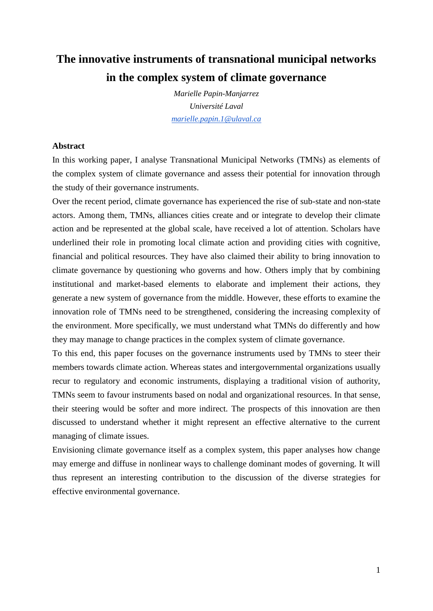# **The innovative instruments of transnational municipal networks in the complex system of climate governance**

*Marielle Papin-Manjarrez Université Laval [marielle.papin.1@ulaval.ca](mailto:marielle.papin.1@ulaval.ca)*

## **Abstract**

In this working paper, I analyse Transnational Municipal Networks (TMNs) as elements of the complex system of climate governance and assess their potential for innovation through the study of their governance instruments.

Over the recent period, climate governance has experienced the rise of sub-state and non-state actors. Among them, TMNs, alliances cities create and or integrate to develop their climate action and be represented at the global scale, have received a lot of attention. Scholars have underlined their role in promoting local climate action and providing cities with cognitive, financial and political resources. They have also claimed their ability to bring innovation to climate governance by questioning who governs and how. Others imply that by combining institutional and market-based elements to elaborate and implement their actions, they generate a new system of governance from the middle. However, these efforts to examine the innovation role of TMNs need to be strengthened, considering the increasing complexity of the environment. More specifically, we must understand what TMNs do differently and how they may manage to change practices in the complex system of climate governance.

To this end, this paper focuses on the governance instruments used by TMNs to steer their members towards climate action. Whereas states and intergovernmental organizations usually recur to regulatory and economic instruments, displaying a traditional vision of authority, TMNs seem to favour instruments based on nodal and organizational resources. In that sense, their steering would be softer and more indirect. The prospects of this innovation are then discussed to understand whether it might represent an effective alternative to the current managing of climate issues.

Envisioning climate governance itself as a complex system, this paper analyses how change may emerge and diffuse in nonlinear ways to challenge dominant modes of governing. It will thus represent an interesting contribution to the discussion of the diverse strategies for effective environmental governance.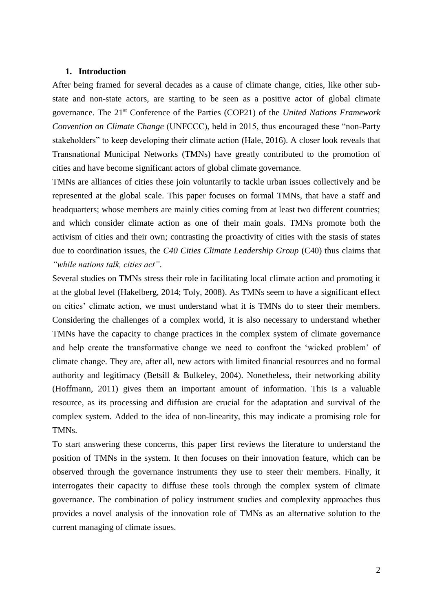### **1. Introduction**

After being framed for several decades as a cause of climate change, cities, like other substate and non-state actors, are starting to be seen as a positive actor of global climate governance. The 21st Conference of the Parties (COP21) of the *United Nations Framework Convention on Climate Change* (UNFCCC), held in 2015, thus encouraged these "non-Party stakeholders" to keep developing their climate action (Hale, 2016). A closer look reveals that Transnational Municipal Networks (TMNs) have greatly contributed to the promotion of cities and have become significant actors of global climate governance.

TMNs are alliances of cities these join voluntarily to tackle urban issues collectively and be represented at the global scale. This paper focuses on formal TMNs, that have a staff and headquarters; whose members are mainly cities coming from at least two different countries; and which consider climate action as one of their main goals. TMNs promote both the activism of cities and their own; contrasting the proactivity of cities with the stasis of states due to coordination issues, the *C40 Cities Climate Leadership Group* (C40) thus claims that *"while nations talk, cities act"*.

Several studies on TMNs stress their role in facilitating local climate action and promoting it at the global level (Hakelberg, 2014; Toly, 2008). As TMNs seem to have a significant effect on cities' climate action, we must understand what it is TMNs do to steer their members. Considering the challenges of a complex world, it is also necessary to understand whether TMNs have the capacity to change practices in the complex system of climate governance and help create the transformative change we need to confront the 'wicked problem' of climate change. They are, after all, new actors with limited financial resources and no formal authority and legitimacy (Betsill & Bulkeley, 2004). Nonetheless, their networking ability (Hoffmann, 2011) gives them an important amount of information. This is a valuable resource, as its processing and diffusion are crucial for the adaptation and survival of the complex system. Added to the idea of non-linearity, this may indicate a promising role for TMNs.

To start answering these concerns, this paper first reviews the literature to understand the position of TMNs in the system. It then focuses on their innovation feature, which can be observed through the governance instruments they use to steer their members. Finally, it interrogates their capacity to diffuse these tools through the complex system of climate governance. The combination of policy instrument studies and complexity approaches thus provides a novel analysis of the innovation role of TMNs as an alternative solution to the current managing of climate issues.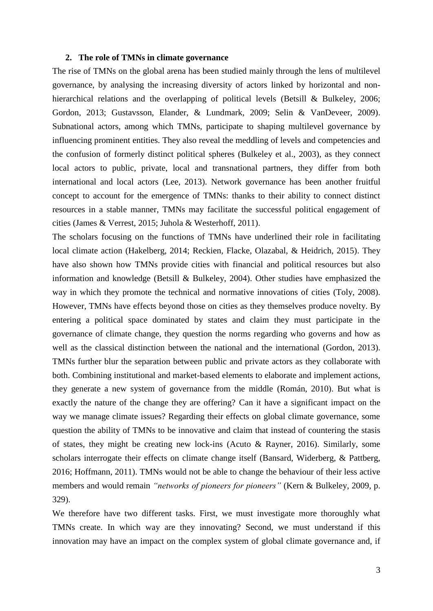## **2. The role of TMNs in climate governance**

The rise of TMNs on the global arena has been studied mainly through the lens of multilevel governance, by analysing the increasing diversity of actors linked by horizontal and nonhierarchical relations and the overlapping of political levels (Betsill & Bulkeley, 2006; Gordon, 2013; Gustavsson, Elander, & Lundmark, 2009; Selin & VanDeveer, 2009). Subnational actors, among which TMNs, participate to shaping multilevel governance by influencing prominent entities. They also reveal the meddling of levels and competencies and the confusion of formerly distinct political spheres (Bulkeley et al., 2003), as they connect local actors to public, private, local and transnational partners, they differ from both international and local actors (Lee, 2013). Network governance has been another fruitful concept to account for the emergence of TMNs: thanks to their ability to connect distinct resources in a stable manner, TMNs may facilitate the successful political engagement of cities (James & Verrest, 2015; Juhola & Westerhoff, 2011).

The scholars focusing on the functions of TMNs have underlined their role in facilitating local climate action (Hakelberg, 2014; Reckien, Flacke, Olazabal, & Heidrich, 2015). They have also shown how TMNs provide cities with financial and political resources but also information and knowledge (Betsill & Bulkeley, 2004). Other studies have emphasized the way in which they promote the technical and normative innovations of cities (Toly, 2008). However, TMNs have effects beyond those on cities as they themselves produce novelty. By entering a political space dominated by states and claim they must participate in the governance of climate change, they question the norms regarding who governs and how as well as the classical distinction between the national and the international (Gordon, 2013). TMNs further blur the separation between public and private actors as they collaborate with both. Combining institutional and market-based elements to elaborate and implement actions, they generate a new system of governance from the middle (Román, 2010). But what is exactly the nature of the change they are offering? Can it have a significant impact on the way we manage climate issues? Regarding their effects on global climate governance, some question the ability of TMNs to be innovative and claim that instead of countering the stasis of states, they might be creating new lock-ins (Acuto & Rayner, 2016). Similarly, some scholars interrogate their effects on climate change itself (Bansard, Widerberg, & Pattberg, 2016; Hoffmann, 2011). TMNs would not be able to change the behaviour of their less active members and would remain *"networks of pioneers for pioneers"* (Kern & Bulkeley, 2009, p. 329).

We therefore have two different tasks. First, we must investigate more thoroughly what TMNs create. In which way are they innovating? Second, we must understand if this innovation may have an impact on the complex system of global climate governance and, if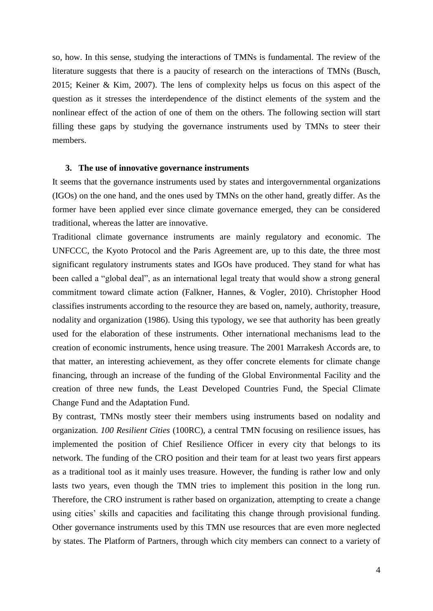so, how. In this sense, studying the interactions of TMNs is fundamental. The review of the literature suggests that there is a paucity of research on the interactions of TMNs (Busch, 2015; Keiner & Kim, 2007). The lens of complexity helps us focus on this aspect of the question as it stresses the interdependence of the distinct elements of the system and the nonlinear effect of the action of one of them on the others. The following section will start filling these gaps by studying the governance instruments used by TMNs to steer their members.

#### **3. The use of innovative governance instruments**

It seems that the governance instruments used by states and intergovernmental organizations (IGOs) on the one hand, and the ones used by TMNs on the other hand, greatly differ. As the former have been applied ever since climate governance emerged, they can be considered traditional, whereas the latter are innovative.

Traditional climate governance instruments are mainly regulatory and economic. The UNFCCC, the Kyoto Protocol and the Paris Agreement are, up to this date, the three most significant regulatory instruments states and IGOs have produced. They stand for what has been called a "global deal", as an international legal treaty that would show a strong general commitment toward climate action (Falkner, Hannes, & Vogler, 2010). Christopher Hood classifies instruments according to the resource they are based on, namely, authority, treasure, nodality and organization (1986). Using this typology, we see that authority has been greatly used for the elaboration of these instruments. Other international mechanisms lead to the creation of economic instruments, hence using treasure. The 2001 Marrakesh Accords are, to that matter, an interesting achievement, as they offer concrete elements for climate change financing, through an increase of the funding of the Global Environmental Facility and the creation of three new funds, the Least Developed Countries Fund, the Special Climate Change Fund and the Adaptation Fund.

By contrast, TMNs mostly steer their members using instruments based on nodality and organization. *100 Resilient Cities* (100RC), a central TMN focusing on resilience issues, has implemented the position of Chief Resilience Officer in every city that belongs to its network. The funding of the CRO position and their team for at least two years first appears as a traditional tool as it mainly uses treasure. However, the funding is rather low and only lasts two years, even though the TMN tries to implement this position in the long run. Therefore, the CRO instrument is rather based on organization, attempting to create a change using cities' skills and capacities and facilitating this change through provisional funding. Other governance instruments used by this TMN use resources that are even more neglected by states. The Platform of Partners, through which city members can connect to a variety of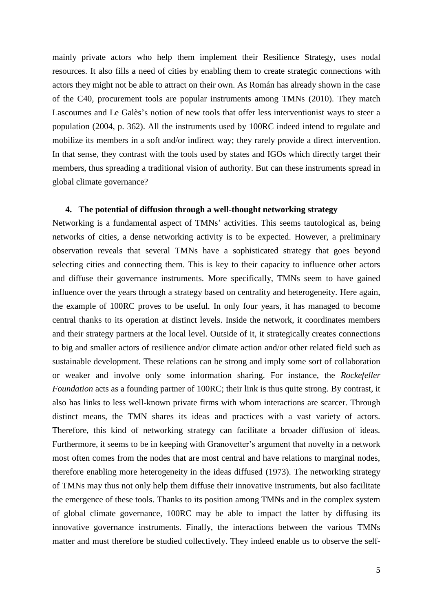mainly private actors who help them implement their Resilience Strategy, uses nodal resources. It also fills a need of cities by enabling them to create strategic connections with actors they might not be able to attract on their own. As Román has already shown in the case of the C40, procurement tools are popular instruments among TMNs (2010). They match Lascoumes and Le Galès's notion of new tools that offer less interventionist ways to steer a population (2004, p. 362). All the instruments used by 100RC indeed intend to regulate and mobilize its members in a soft and/or indirect way; they rarely provide a direct intervention. In that sense, they contrast with the tools used by states and IGOs which directly target their members, thus spreading a traditional vision of authority. But can these instruments spread in global climate governance?

#### **4. The potential of diffusion through a well-thought networking strategy**

Networking is a fundamental aspect of TMNs' activities. This seems tautological as, being networks of cities, a dense networking activity is to be expected. However, a preliminary observation reveals that several TMNs have a sophisticated strategy that goes beyond selecting cities and connecting them. This is key to their capacity to influence other actors and diffuse their governance instruments. More specifically, TMNs seem to have gained influence over the years through a strategy based on centrality and heterogeneity. Here again, the example of 100RC proves to be useful. In only four years, it has managed to become central thanks to its operation at distinct levels. Inside the network, it coordinates members and their strategy partners at the local level. Outside of it, it strategically creates connections to big and smaller actors of resilience and/or climate action and/or other related field such as sustainable development. These relations can be strong and imply some sort of collaboration or weaker and involve only some information sharing. For instance, the *Rockefeller Foundation* acts as a founding partner of 100RC; their link is thus quite strong. By contrast, it also has links to less well-known private firms with whom interactions are scarcer. Through distinct means, the TMN shares its ideas and practices with a vast variety of actors. Therefore, this kind of networking strategy can facilitate a broader diffusion of ideas. Furthermore, it seems to be in keeping with Granovetter's argument that novelty in a network most often comes from the nodes that are most central and have relations to marginal nodes, therefore enabling more heterogeneity in the ideas diffused (1973). The networking strategy of TMNs may thus not only help them diffuse their innovative instruments, but also facilitate the emergence of these tools. Thanks to its position among TMNs and in the complex system of global climate governance, 100RC may be able to impact the latter by diffusing its innovative governance instruments. Finally, the interactions between the various TMNs matter and must therefore be studied collectively. They indeed enable us to observe the self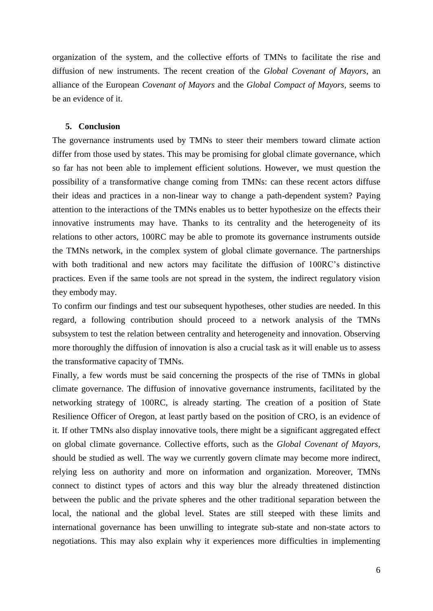organization of the system, and the collective efforts of TMNs to facilitate the rise and diffusion of new instruments. The recent creation of the *Global Covenant of Mayors*, an alliance of the European *Covenant of Mayors* and the *Global Compact of Mayors*, seems to be an evidence of it.

#### **5. Conclusion**

The governance instruments used by TMNs to steer their members toward climate action differ from those used by states. This may be promising for global climate governance, which so far has not been able to implement efficient solutions. However, we must question the possibility of a transformative change coming from TMNs: can these recent actors diffuse their ideas and practices in a non-linear way to change a path-dependent system? Paying attention to the interactions of the TMNs enables us to better hypothesize on the effects their innovative instruments may have. Thanks to its centrality and the heterogeneity of its relations to other actors, 100RC may be able to promote its governance instruments outside the TMNs network, in the complex system of global climate governance. The partnerships with both traditional and new actors may facilitate the diffusion of 100RC's distinctive practices. Even if the same tools are not spread in the system, the indirect regulatory vision they embody may.

To confirm our findings and test our subsequent hypotheses, other studies are needed. In this regard, a following contribution should proceed to a network analysis of the TMNs subsystem to test the relation between centrality and heterogeneity and innovation. Observing more thoroughly the diffusion of innovation is also a crucial task as it will enable us to assess the transformative capacity of TMNs.

Finally, a few words must be said concerning the prospects of the rise of TMNs in global climate governance. The diffusion of innovative governance instruments, facilitated by the networking strategy of 100RC, is already starting. The creation of a position of State Resilience Officer of Oregon, at least partly based on the position of CRO, is an evidence of it. If other TMNs also display innovative tools, there might be a significant aggregated effect on global climate governance. Collective efforts, such as the *Global Covenant of Mayors*, should be studied as well. The way we currently govern climate may become more indirect, relying less on authority and more on information and organization. Moreover, TMNs connect to distinct types of actors and this way blur the already threatened distinction between the public and the private spheres and the other traditional separation between the local, the national and the global level. States are still steeped with these limits and international governance has been unwilling to integrate sub-state and non-state actors to negotiations. This may also explain why it experiences more difficulties in implementing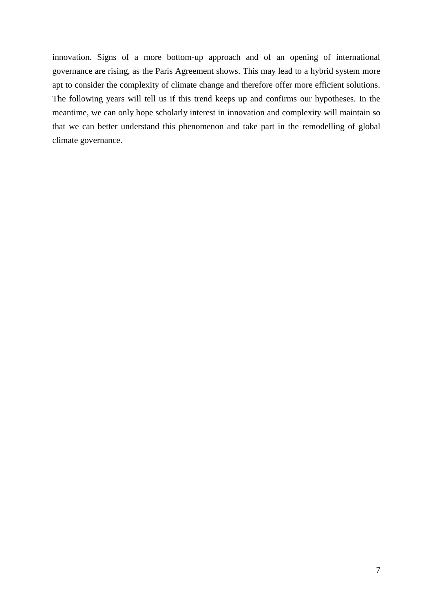innovation. Signs of a more bottom-up approach and of an opening of international governance are rising, as the Paris Agreement shows. This may lead to a hybrid system more apt to consider the complexity of climate change and therefore offer more efficient solutions. The following years will tell us if this trend keeps up and confirms our hypotheses. In the meantime, we can only hope scholarly interest in innovation and complexity will maintain so that we can better understand this phenomenon and take part in the remodelling of global climate governance.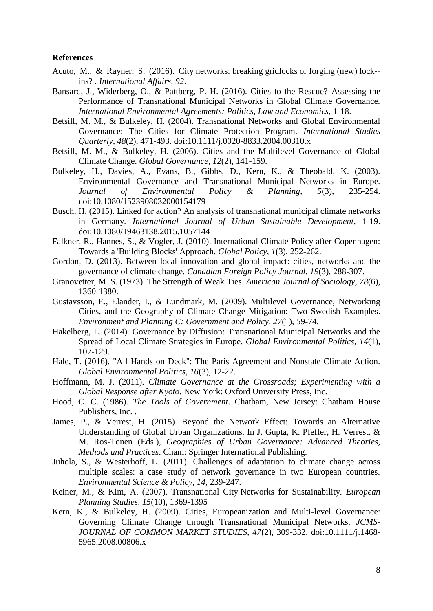## **References**

- Acuto, M., & Rayner, S. (2016). City networks: breaking gridlocks or forging (new) lock-‐ ins? . *International Affairs, 92*.
- Bansard, J., Widerberg, O., & Pattberg, P. H. (2016). Cities to the Rescue? Assessing the Performance of Transnational Municipal Networks in Global Climate Governance. *International Environmental Agreements: Politics, Law and Economics*, 1-18.
- Betsill, M. M., & Bulkeley, H. (2004). Transnational Networks and Global Environmental Governance: The Cities for Climate Protection Program. *International Studies Quarterly, 48*(2), 471-493. doi:10.1111/j.0020-8833.2004.00310.x
- Betsill, M. M., & Bulkeley, H. (2006). Cities and the Multilevel Governance of Global Climate Change. *Global Governance, 12*(2), 141-159.
- Bulkeley, H., Davies, A., Evans, B., Gibbs, D., Kern, K., & Theobald, K. (2003). Environmental Governance and Transnational Municipal Networks in Europe. *Journal of Environmental Policy & Planning, 5*(3), 235-254. doi:10.1080/1523908032000154179
- Busch, H. (2015). Linked for action? An analysis of transnational municipal climate networks in Germany. *International Journal of Urban Sustainable Development*, 1-19. doi:10.1080/19463138.2015.1057144
- Falkner, R., Hannes, S., & Vogler, J. (2010). International Climate Policy after Copenhagen: Towards a 'Building Blocks' Approach. *Global Policy, 1*(3), 252-262.
- Gordon, D. (2013). Between local innovation and global impact: cities, networks and the governance of climate change. *Canadian Foreign Policy Journal, 19*(3), 288-307.
- Granovetter, M. S. (1973). The Strength of Weak Ties. *American Journal of Sociology, 78*(6), 1360-1380.
- Gustavsson, E., Elander, I., & Lundmark, M. (2009). Multilevel Governance, Networking Cities, and the Geography of Climate Change Mitigation: Two Swedish Examples. *Environment and Planning C: Government and Policy, 27*(1), 59-74.
- Hakelberg, L. (2014). Governance by Diffusion: Transnational Municipal Networks and the Spread of Local Climate Strategies in Europe. *Global Environmental Politics, 14*(1), 107-129.
- Hale, T. (2016). "All Hands on Deck": The Paris Agreement and Nonstate Climate Action. *Global Environmental Politics, 16*(3), 12-22.
- Hoffmann, M. J. (2011). *Climate Governance at the Crossroads; Experimenting with a Global Response after Kyoto*. New York: Oxford University Press, Inc.
- Hood, C. C. (1986). *The Tools of Government*. Chatham, New Jersey: Chatham House Publishers, Inc. .
- James, P., & Verrest, H. (2015). Beyond the Network Effect: Towards an Alternative Understanding of Global Urban Organizations. In J. Gupta, K. Pfeffer, H. Verrest, & M. Ros-Tonen (Eds.), *Geographies of Urban Governance: Advanced Theories, Methods and Practices*. Cham: Springer International Publishing.
- Juhola, S., & Westerhoff, L. (2011). Challenges of adaptation to climate change across multiple scales: a case study of network governance in two European countries. *Environmental Science & Policy, 14*, 239-247.
- Keiner, M., & Kim, A. (2007). Transnational City Networks for Sustainability. *European Planning Studies, 15*(10), 1369-1395
- Kern, K., & Bulkeley, H. (2009). Cities, Europeanization and Multi-level Governance: Governing Climate Change through Transnational Municipal Networks. *JCMS-JOURNAL OF COMMON MARKET STUDIES, 47*(2), 309-332. doi:10.1111/j.1468- 5965.2008.00806.x